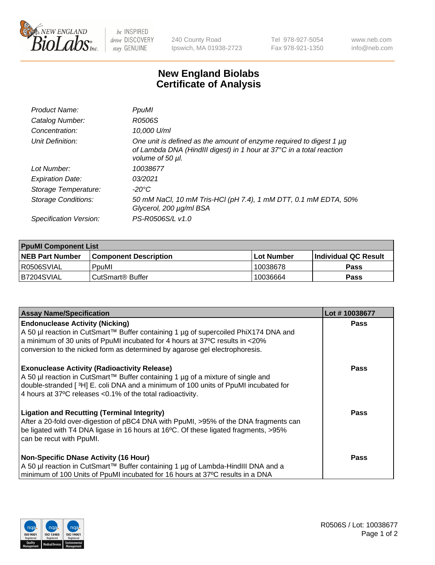

 $be$  INSPIRED drive DISCOVERY stay GENUINE

240 County Road Ipswich, MA 01938-2723 Tel 978-927-5054 Fax 978-921-1350 www.neb.com info@neb.com

## **New England Biolabs Certificate of Analysis**

| Product Name:           | PpuMI                                                                                                                                                                |
|-------------------------|----------------------------------------------------------------------------------------------------------------------------------------------------------------------|
| Catalog Number:         | R0506S                                                                                                                                                               |
| Concentration:          | 10,000 U/ml                                                                                                                                                          |
| Unit Definition:        | One unit is defined as the amount of enzyme required to digest 1 $\mu$ g<br>of Lambda DNA (HindIII digest) in 1 hour at 37°C in a total reaction<br>volume of 50 µl. |
| Lot Number:             | 10038677                                                                                                                                                             |
| <b>Expiration Date:</b> | 03/2021                                                                                                                                                              |
| Storage Temperature:    | -20°C                                                                                                                                                                |
| Storage Conditions:     | 50 mM NaCl, 10 mM Tris-HCl (pH 7.4), 1 mM DTT, 0.1 mM EDTA, 50%<br>Glycerol, 200 µg/ml BSA                                                                           |
| Specification Version:  | PS-R0506S/L v1.0                                                                                                                                                     |

| <b>PpuMI Component List</b> |                              |             |                       |  |  |
|-----------------------------|------------------------------|-------------|-----------------------|--|--|
| <b>NEB Part Number</b>      | <b>Component Description</b> | ⊺Lot Number | ∣Individual QC Result |  |  |
| R0506SVIAL                  | PpuMI                        | 10038678    | Pass                  |  |  |
| IB7204SVIAL                 | l CutSmart® Buffer           | 10036664    | <b>Pass</b>           |  |  |

| <b>Assay Name/Specification</b>                                                                                                                                                                                                                                                             | Lot #10038677 |
|---------------------------------------------------------------------------------------------------------------------------------------------------------------------------------------------------------------------------------------------------------------------------------------------|---------------|
| <b>Endonuclease Activity (Nicking)</b><br>  A 50 µl reaction in CutSmart™ Buffer containing 1 µg of supercoiled PhiX174 DNA and                                                                                                                                                             | <b>Pass</b>   |
| a minimum of 30 units of PpuMI incubated for 4 hours at 37°C results in <20%<br>conversion to the nicked form as determined by agarose gel electrophoresis.                                                                                                                                 |               |
| <b>Exonuclease Activity (Radioactivity Release)</b><br>A 50 µl reaction in CutSmart™ Buffer containing 1 µg of a mixture of single and<br>double-stranded [3H] E. coli DNA and a minimum of 100 units of PpuMI incubated for<br>4 hours at 37°C releases < 0.1% of the total radioactivity. | <b>Pass</b>   |
| <b>Ligation and Recutting (Terminal Integrity)</b><br>After a 20-fold over-digestion of pBC4 DNA with PpuMI, >95% of the DNA fragments can<br>be ligated with T4 DNA ligase in 16 hours at 16°C. Of these ligated fragments, >95%<br>can be recut with PpuMI.                               | Pass          |
| <b>Non-Specific DNase Activity (16 Hour)</b><br>A 50 µl reaction in CutSmart™ Buffer containing 1 µg of Lambda-HindIII DNA and a                                                                                                                                                            | <b>Pass</b>   |
| minimum of 100 Units of PpuMI incubated for 16 hours at 37°C results in a DNA                                                                                                                                                                                                               |               |